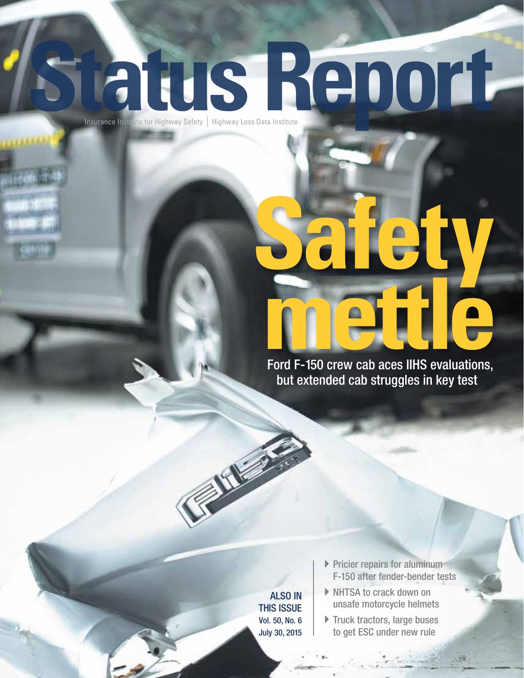# **Insurance Institute for Highway Safety**

## Ford F-150 crew cab aces IIHS evaluations, but extended cab struggles in key test

**Safety**

ALSO IN THIS ISSUE Vol. 50, No. 6 July 30, 2015

In

- $\blacktriangleright$  Pricier repairs for aluminum F-150 after fender-bender tests
- ▶ NHTSA to crack down on unsafe motorcycle helmets
- $\blacktriangleright$  Truck tractors, large buses to get ESC under new rule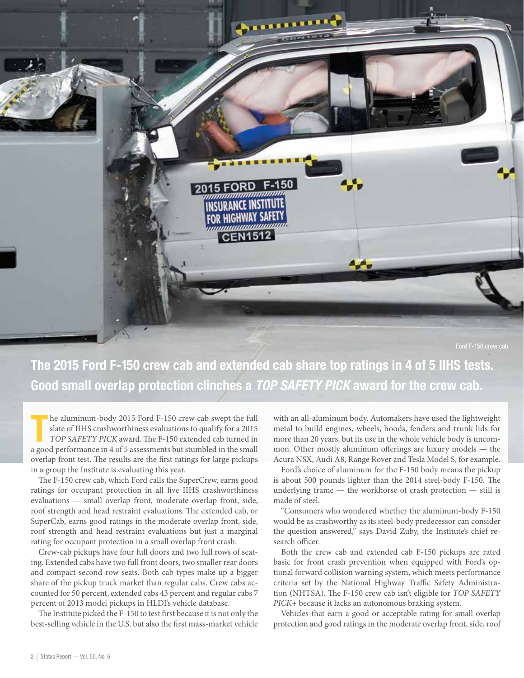

The 2015 Ford F-150 crew cab and extended cab share top ratings in 4 of 5 IIHS tests. Good small overlap protection clinches a *TOP SAFETY PICK* award for the crew cab.

he aluminum-body 2015 Ford F-150 crew cab swept the full slate of IIHS crashworthiness evaluations to qualify for a 2015 TOP SAFETY PICK award. The F-150 extended cab turned in a good performance in 4 of 5 assessments but he aluminum-body 2015 Ford F-150 crew cab swept the full slate of IIHS crashworthiness evaluations to qualify for a 2015 *TOP SAFETY PICK* award. The F-150 extended cab turned in overlap front test. The results are the first ratings for large pickups in a group the Institute is evaluating this year.

The F-150 crew cab, which Ford calls the SuperCrew, earns good ratings for occupant protection in all five IIHS crashworthiness evaluations — small overlap front, moderate overlap front, side, roof strength and head restraint evaluations. The extended cab, or SuperCab, earns good ratings in the moderate overlap front, side, roof strength and head restraint evaluations but just a marginal rating for occupant protection in a small overlap front crash.

Crew-cab pickups have four full doors and two full rows of seating. Extended cabs have two full front doors, two smaller rear doors and compact second-row seats. Both cab types make up a bigger share of the pickup truck market than regular cabs. Crew cabs accounted for 50 percent, extended cabs 43 percent and regular cabs 7 percent of 2013 model pickups in HLDI's vehicle database.

The Institute picked the F-150 to test first because it is not only the best-selling vehicle in the U.S. but also the first mass-market vehicle

with an all-aluminum body. Automakers have used the lightweight metal to build engines, wheels, hoods, fenders and trunk lids for more than 20 years, but its use in the whole vehicle body is uncommon. Other mostly aluminum offerings are luxury models — the Acura NSX, Audi A8, Range Rover and Tesla Model S, for example.

Ford's choice of aluminum for the F-150 body means the pickup is about 500 pounds lighter than the 2014 steel-body F-150. The underlying frame — the workhorse of crash protection — still is made of steel.

"Consumers who wondered whether the aluminum-body F-150 would be as crashworthy as its steel-body predecessor can consider the question answered," says David Zuby, the Institute's chief research officer.

Both the crew cab and extended cab F-150 pickups are rated basic for front crash prevention when equipped with Ford's optional forward collision warning system, which meets performance criteria set by the National Highway Traffic Safety Administration (NHTSA). The F-150 crew cab isn't eligible for *TOP SAFETY PICK*+ because it lacks an autonomous braking system.

Vehicles that earn a good or acceptable rating for small overlap protection and good ratings in the moderate overlap front, side, roof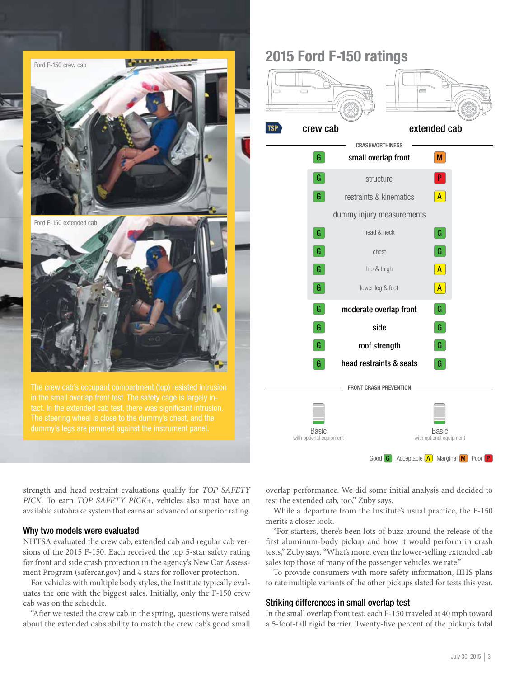

#### 2015 Ford F-150 ratings



strength and head restraint evaluations qualify for *TOP SAFETY PICK*. To earn *TOP SAFETY PICK*+, vehicles also must have an available autobrake system that earns an advanced or superior rating.

#### Why two models were evaluated

NHTSA evaluated the crew cab, extended cab and regular cab versions of the 2015 F-150. Each received the top 5-star safety rating for front and side crash protection in the agency's New Car Assessment Program (safercar.gov) and 4 stars for rollover protection.

For vehicles with multiple body styles, the Institute typically evaluates the one with the biggest sales. Initially, only the F-150 crew cab was on the schedule.

"After we tested the crew cab in the spring, questions were raised about the extended cab's ability to match the crew cab's good small

overlap performance. We did some initial analysis and decided to test the extended cab, too," Zuby says.

While a departure from the Institute's usual practice, the F-150 merits a closer look.

"For starters, there's been lots of buzz around the release of the first aluminum-body pickup and how it would perform in crash tests," Zuby says. "What's more, even the lower-selling extended cab sales top those of many of the passenger vehicles we rate."

To provide consumers with more safety information, IIHS plans to rate multiple variants of the other pickups slated for tests this year.

#### Striking differences in small overlap test

In the small overlap front test, each F-150 traveled at 40 mph toward a 5-foot-tall rigid barrier. Twenty-five percent of the pickup's total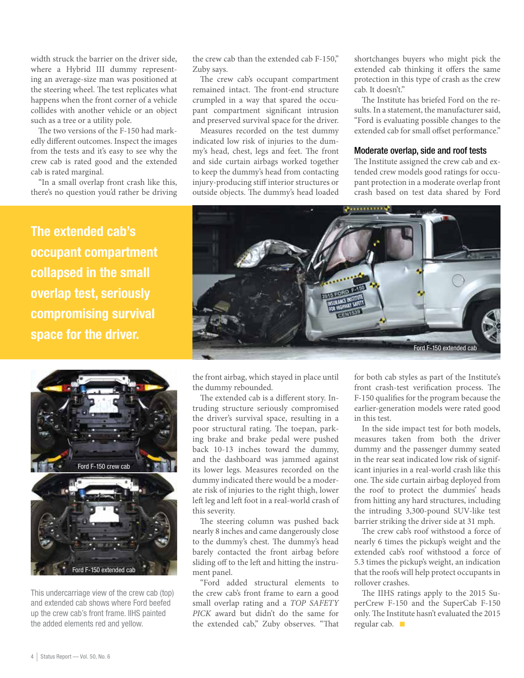width struck the barrier on the driver side, where a Hybrid III dummy representing an average-size man was positioned at the steering wheel. The test replicates what happens when the front corner of a vehicle collides with another vehicle or an object such as a tree or a utility pole.

The two versions of the F-150 had markedly different outcomes. Inspect the images from the tests and it's easy to see why the crew cab is rated good and the extended cab is rated marginal.

"In a small overlap front crash like this, there's no question you'd rather be driving

The extended cab's occupant compartment collapsed in the small overlap test, seriously compromising survival space for the driver.



This undercarriage view of the crew cab (top) and extended cab shows where Ford beefed up the crew cab's front frame. IIHS painted the added elements red and yellow.

the crew cab than the extended cab F-150," Zuby says.

The crew cab's occupant compartment remained intact. The front-end structure crumpled in a way that spared the occupant compartment significant intrusion and preserved survival space for the driver.

Measures recorded on the test dummy indicated low risk of injuries to the dummy's head, chest, legs and feet. The front and side curtain airbags worked together to keep the dummy's head from contacting injury-producing stiff interior structures or outside objects. The dummy's head loaded

shortchanges buyers who might pick the extended cab thinking it offers the same protection in this type of crash as the crew cab. It doesn't."

The Institute has briefed Ford on the results. In a statement, the manufacturer said, "Ford is evaluating possible changes to the extended cab for small offset performance."

#### Moderate overlap, side and roof tests

The Institute assigned the crew cab and extended crew models good ratings for occupant protection in a moderate overlap front crash based on test data shared by Ford



the front airbag, which stayed in place until the dummy rebounded.

The extended cab is a different story. Intruding structure seriously compromised the driver's survival space, resulting in a poor structural rating. The toepan, parking brake and brake pedal were pushed back 10-13 inches toward the dummy, and the dashboard was jammed against its lower legs. Measures recorded on the dummy indicated there would be a moderate risk of injuries to the right thigh, lower left leg and left foot in a real-world crash of this severity.

The steering column was pushed back nearly 8 inches and came dangerously close to the dummy's chest. The dummy's head barely contacted the front airbag before sliding off to the left and hitting the instrument panel.

"Ford added structural elements to the crew cab's front frame to earn a good small overlap rating and a *TOP SAFETY PICK* award but didn't do the same for the extended cab," Zuby observes. "That for both cab styles as part of the Institute's front crash-test verification process. The F-150 qualifies for the program because the earlier-generation models were rated good in this test.

In the side impact test for both models, measures taken from both the driver dummy and the passenger dummy seated in the rear seat indicated low risk of significant injuries in a real-world crash like this one. The side curtain airbag deployed from the roof to protect the dummies' heads from hitting any hard structures, including the intruding 3,300-pound SUV-like test barrier striking the driver side at 31 mph.

The crew cab's roof withstood a force of nearly 6 times the pickup's weight and the extended cab's roof withstood a force of 5.3 times the pickup's weight, an indication that the roofs will help protect occupants in rollover crashes.

The IIHS ratings apply to the 2015 SuperCrew F-150 and the SuperCab F-150 only. The Institute hasn't evaluated the 2015 regular cab.  $\blacksquare$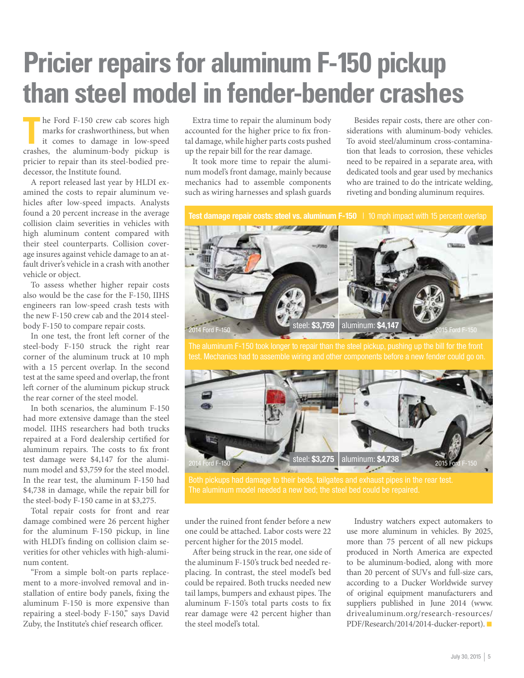### **Pricier repairs for aluminum F-150 pickup than steel model in fender-bender crashes**

he Ford F-150 crew cab scores high marks for crashworthiness, but when<br>it comes to damage in low-speed<br>crashes, the aluminum-body pickup is he Ford F-150 crew cab scores high marks for crashworthiness, but when it comes to damage in low-speed pricier to repair than its steel-bodied predecessor, the Institute found.

A report released last year by HLDI examined the costs to repair aluminum vehicles after low-speed impacts. Analysts found a 20 percent increase in the average collision claim severities in vehicles with high aluminum content compared with their steel counterparts. Collision coverage insures against vehicle damage to an atfault driver's vehicle in a crash with another vehicle or object.

To assess whether higher repair costs also would be the case for the F-150, IIHS engineers ran low-speed crash tests with the new F-150 crew cab and the 2014 steelbody F-150 to compare repair costs.

In one test, the front left corner of the steel-body F-150 struck the right rear corner of the aluminum truck at 10 mph with a 15 percent overlap. In the second test at the same speed and overlap, the front left corner of the aluminum pickup struck the rear corner of the steel model.

In both scenarios, the aluminum F-150 had more extensive damage than the steel model. IIHS researchers had both trucks repaired at a Ford dealership certified for aluminum repairs. The costs to fix front test damage were \$4,147 for the aluminum model and \$3,759 for the steel model. In the rear test, the aluminum F-150 had \$4,738 in damage, while the repair bill for the steel-body F-150 came in at \$3,275.

Total repair costs for front and rear damage combined were 26 percent higher for the aluminum F-150 pickup, in line with HLDI's finding on collision claim severities for other vehicles with high-aluminum content.

"From a simple bolt-on parts replacement to a more-involved removal and installation of entire body panels, fixing the aluminum F-150 is more expensive than repairing a steel-body F-150," says David Zuby, the Institute's chief research officer.

Extra time to repair the aluminum body accounted for the higher price to fix frontal damage, while higher parts costs pushed up the repair bill for the rear damage.

It took more time to repair the aluminum model's front damage, mainly because mechanics had to assemble components such as wiring harnesses and splash guards

Besides repair costs, there are other considerations with aluminum-body vehicles. To avoid steel/aluminum cross-contamination that leads to corrosion, these vehicles need to be repaired in a separate area, with dedicated tools and gear used by mechanics who are trained to do the intricate welding, riveting and bonding aluminum requires.

Test damage repair costs: steel vs. aluminum F-150 | 10 mph impact with 15 percent overlap \$3,759 aluminum: \$4,147 2014 Ford F-150 2015 Ford F-150

test. Mechanics had to assemble wiring and other components before a new fender could go on



under the ruined front fender before a new one could be attached. Labor costs were 22 percent higher for the 2015 model.

After being struck in the rear, one side of the aluminum F-150's truck bed needed replacing. In contrast, the steel model's bed could be repaired. Both trucks needed new tail lamps, bumpers and exhaust pipes. The aluminum F-150's total parts costs to fix rear damage were 42 percent higher than the steel model's total.

Industry watchers expect automakers to use more aluminum in vehicles. By 2025, more than 75 percent of all new pickups produced in North America are expected to be aluminum-bodied, along with more than 20 percent of SUVs and full-size cars, according to a Ducker Worldwide survey of original equipment manufacturers and suppliers published in June 2014 (www. drivealuminum.org/research-resources/ PDF/Research/2014/2014-ducker-report).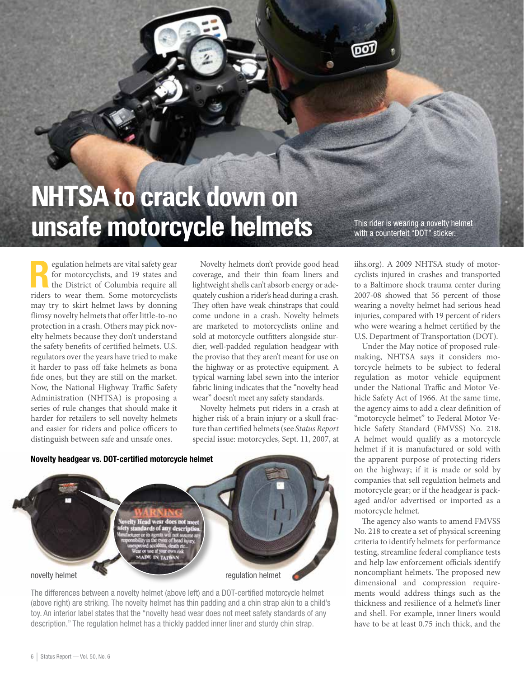### **NHTSA to crack down on unsafe motorcycle helmets**

This rider is wearing a novelty helmet with a counterfeit "DOT" sticker.

ОΟ

Exploration helmets are vital safety gear<br>
for motorcyclists, and 19 states and<br>
the District of Columbia require all<br>
the motorcyclists for motorcyclists, and 19 states and riders to wear them. Some motorcyclists may try to skirt helmet laws by donning flimsy novelty helmets that offer little-to-no protection in a crash. Others may pick novelty helmets because they don't understand the safety benefits of certified helmets. U.S. regulators over the years have tried to make it harder to pass off fake helmets as bona fide ones, but they are still on the market. Now, the National Highway Traffic Safety Administration (NHTSA) is proposing a series of rule changes that should make it harder for retailers to sell novelty helmets and easier for riders and police officers to distinguish between safe and unsafe ones.

Novelty helmets don't provide good head coverage, and their thin foam liners and lightweight shells can't absorb energy or adequately cushion a rider's head during a crash. They often have weak chinstraps that could come undone in a crash. Novelty helmets are marketed to motorcyclists online and sold at motorcycle outfitters alongside sturdier, well-padded regulation headgear with the proviso that they aren't meant for use on the highway or as protective equipment. A typical warning label sewn into the interior fabric lining indicates that the "novelty head wear" doesn't meet any safety standards.

Novelty helmets put riders in a crash at higher risk of a brain injury or a skull fracture than certified helmets (see *Status Report* special issue: motorcycles, Sept. 11, 2007, at



The differences between a novelty helmet (above left) and a DOT-certified motorcycle helmet (above right) are striking. The novelty helmet has thin padding and a chin strap akin to a child's toy. An interior label states that the "novelty head wear does not meet safety standards of any description." The regulation helmet has a thickly padded inner liner and sturdy chin strap.

iihs.org). A 2009 NHTSA study of motorcyclists injured in crashes and transported to a Baltimore shock trauma center during 2007-08 showed that 56 percent of those wearing a novelty helmet had serious head injuries, compared with 19 percent of riders who were wearing a helmet certified by the U.S. Department of Transportation (DOT).

Under the May notice of proposed rulemaking, NHTSA says it considers motorcycle helmets to be subject to federal regulation as motor vehicle equipment under the National Traffic and Motor Vehicle Safety Act of 1966. At the same time, the agency aims to add a clear definition of "motorcycle helmet" to Federal Motor Vehicle Safety Standard (FMVSS) No. 218. A helmet would qualify as a motorcycle helmet if it is manufactured or sold with the apparent purpose of protecting riders on the highway; if it is made or sold by companies that sell regulation helmets and motorcycle gear; or if the headgear is packaged and/or advertised or imported as a motorcycle helmet.

The agency also wants to amend FMVSS No. 218 to create a set of physical screening criteria to identify helmets for performance testing, streamline federal compliance tests and help law enforcement officials identify noncompliant helmets. The proposed new dimensional and compression requirements would address things such as the thickness and resilience of a helmet's liner and shell. For example, inner liners would have to be at least 0.75 inch thick, and the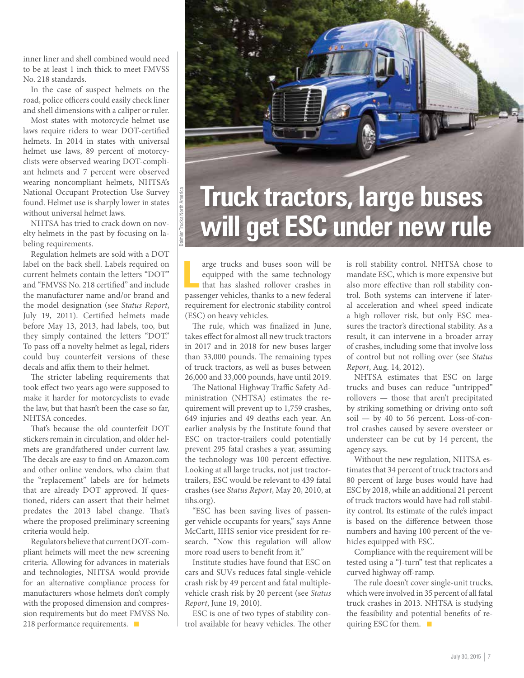inner liner and shell combined would need to be at least 1 inch thick to meet FMVSS No. 218 standards.

In the case of suspect helmets on the road, police officers could easily check liner and shell dimensions with a caliper or ruler.

Most states with motorcycle helmet use laws require riders to wear DOT-certified helmets. In 2014 in states with universal helmet use laws, 89 percent of motorcyclists were observed wearing DOT-compliant helmets and 7 percent were observed wearing noncompliant helmets, NHTSA's National Occupant Protection Use Survey found. Helmet use is sharply lower in states without universal helmet laws.

NHTSA has tried to crack down on novelty helmets in the past by focusing on labeling requirements.

Regulation helmets are sold with a DOT label on the back shell. Labels required on current helmets contain the letters "DOT" and "FMVSS No. 218 certified" and include the manufacturer name and/or brand and the model designation (see *Status Report*, July 19, 2011). Certified helmets made before May 13, 2013, had labels, too, but they simply contained the letters "DOT." To pass off a novelty helmet as legal, riders could buy counterfeit versions of these decals and affix them to their helmet.

The stricter labeling requirements that took effect two years ago were supposed to make it harder for motorcyclists to evade the law, but that hasn't been the case so far, NHTSA concedes.

That's because the old counterfeit DOT stickers remain in circulation, and older helmets are grandfathered under current law. The decals are easy to find on Amazon.com and other online vendors, who claim that the "replacement" labels are for helmets that are already DOT approved. If questioned, riders can assert that their helmet predates the 2013 label change. That's where the proposed preliminary screening criteria would help.

Regulators believe that current DOT-compliant helmets will meet the new screening criteria. Allowing for advances in materials and technologies, NHTSA would provide for an alternative compliance process for manufacturers whose helmets don't comply with the proposed dimension and compression requirements but do meet FMVSS No. 218 performance requirements.  $\blacksquare$ 



## **will get ESC under new rule**

arge trucks and buses soon will be equipped with the same technology<br>that has slashed rollover crashes in<br>passenger vehicles, thanks to a new federal arge trucks and buses soon will be equipped with the same technology that has slashed rollover crashes in requirement for electronic stability control (ESC) on heavy vehicles.

The rule, which was finalized in June, takes effect for almost all new truck tractors in 2017 and in 2018 for new buses larger than 33,000 pounds. The remaining types of truck tractors, as well as buses between 26,000 and 33,000 pounds, have until 2019.

The National Highway Traffic Safety Administration (NHTSA) estimates the requirement will prevent up to 1,759 crashes, 649 injuries and 49 deaths each year. An earlier analysis by the Institute found that ESC on tractor-trailers could potentially prevent 295 fatal crashes a year, assuming the technology was 100 percent effective. Looking at all large trucks, not just tractortrailers, ESC would be relevant to 439 fatal crashes (see *Status Report*, May 20, 2010, at iihs.org).

"ESC has been saving lives of passenger vehicle occupants for years," says Anne McCartt, IIHS senior vice president for research. "Now this regulation will allow more road users to benefit from it."

Institute studies have found that ESC on cars and SUVs reduces fatal single-vehicle crash risk by 49 percent and fatal multiplevehicle crash risk by 20 percent (see *Status Report*, June 19, 2010).

ESC is one of two types of stability control available for heavy vehicles. The other

is roll stability control. NHTSA chose to mandate ESC, which is more expensive but also more effective than roll stability control. Both systems can intervene if lateral acceleration and wheel speed indicate a high rollover risk, but only ESC measures the tractor's directional stability. As a result, it can intervene in a broader array of crashes, including some that involve loss of control but not rolling over (see *Status Report*, Aug. 14, 2012).

NHTSA estimates that ESC on large trucks and buses can reduce "untripped" rollovers — those that aren't precipitated by striking something or driving onto soft soil — by 40 to 56 percent. Loss-of-control crashes caused by severe oversteer or understeer can be cut by 14 percent, the agency says.

Without the new regulation, NHTSA estimates that 34 percent of truck tractors and 80 percent of large buses would have had ESC by 2018, while an additional 21 percent of truck tractors would have had roll stability control. Its estimate of the rule's impact is based on the difference between those numbers and having 100 percent of the vehicles equipped with ESC.

Compliance with the requirement will be tested using a "J-turn" test that replicates a curved highway off-ramp.

The rule doesn't cover single-unit trucks, which were involved in 35 percent of all fatal truck crashes in 2013. NHTSA is studying the feasibility and potential benefits of requiring ESC for them.  $\blacksquare$